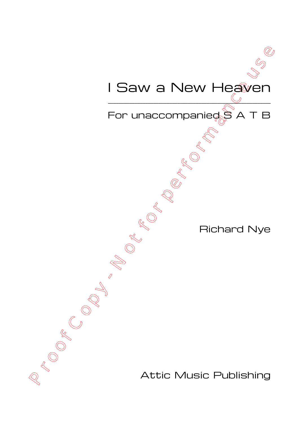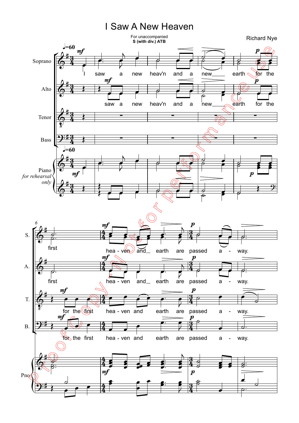## I Saw A New Heaven

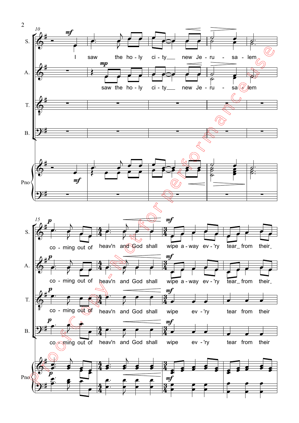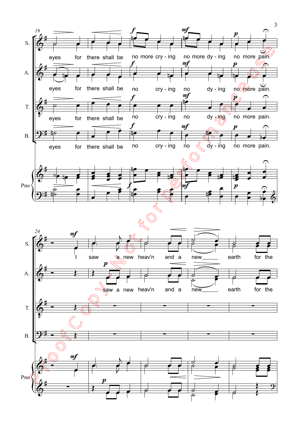